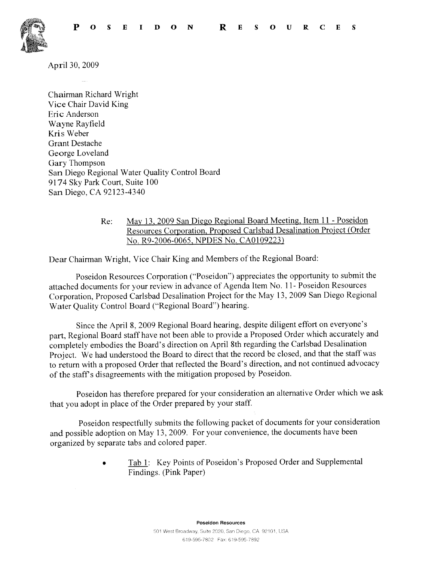

April 30, 2009

Chairman Richard Wright Vice Chair David King Eric Anderson Wayne Rayfield Kris Weber Grant Destache George Loveland Gary Thompson San Diego Regional Water Quality Control Board 9174 Sky Park Court, Suite 100 San Diego, CA 92123-4340

> Re: May 13,2009 San Diego Regional Board Meeting, Item 11 - Poseidon Resources Corporation, Proposed Carlsbad Desalination Project (Order No. R9-2006-0065, NPDES No. CAOI09223)

Dear Chairman Wright, Vice Chair King and Members of the Regional Board:

Poseidon Resources Corporation ("Poseidon") appreciates the opportunity to submit the attached documents for your review in advance of Agenda Item No. 11- Poseidon Resources Corporation, Proposed Carlsbad Desalination Project for the May 13,2009 San Diego Regional Water Quality Control Board ("Regional Board") hearing.

Since the April 8,2009 Regional Board hearing, despite diligent effort on everyone's part, Regional Board staff have not been able to provide a Proposed Order which accurately and completely embodies the Board's direction on April 8th regarding the Carlsbad Desalination Project. We had understood the Board to direct that the record be closed, and that the staff was to return with a proposed Order that reflected the Board's direction, and not continued advocacy of the staff's disagreements with the mitigation proposed by Poseidon.

Poseidon has therefore prepared for your consideration an alternative Order which we ask that you adopt in place of the Order prepared by your staff.

Poseidon respectfully submits the following packet of documents for your consideration and possible adoption on May 13, 2009. For your convenience, the documents have been organized by separate tabs and colored paper.

> Tab 1: Key Points of Poseidon's Proposed Order and Supplemental Findings. (Pink Paper)